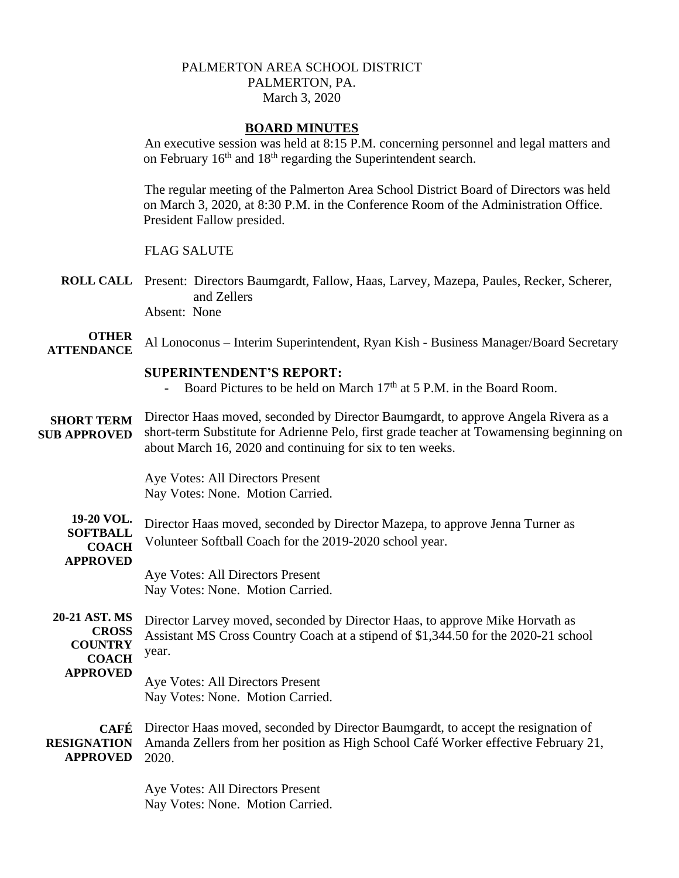# PALMERTON AREA SCHOOL DISTRICT PALMERTON, PA. March 3, 2020

## **BOARD MINUTES**

An executive session was held at 8:15 P.M. concerning personnel and legal matters and on February  $16<sup>th</sup>$  and  $18<sup>th</sup>$  regarding the Superintendent search.

The regular meeting of the Palmerton Area School District Board of Directors was held on March 3, 2020, at 8:30 P.M. in the Conference Room of the Administration Office. President Fallow presided.

### FLAG SALUTE

**ROLL CALL** Present: Directors Baumgardt, Fallow, Haas, Larvey, Mazepa, Paules, Recker, Scherer, and Zellers Absent: None

#### **OTHER ATTENDANCE** Al Lonoconus – Interim Superintendent, Ryan Kish - Business Manager/Board Secretary

### **SUPERINTENDENT'S REPORT:**

- **-** Board Pictures to be held on March 17th at 5 P.M. in the Board Room.
- **SHORT TERM SUB APPROVED** Director Haas moved, seconded by Director Baumgardt, to approve Angela Rivera as a short-term Substitute for Adrienne Pelo, first grade teacher at Towamensing beginning on about March 16, 2020 and continuing for six to ten weeks.

Aye Votes: All Directors Present Nay Votes: None. Motion Carried.

**19-20 VOL. SOFTBALL COACH APPROVED** Director Haas moved, seconded by Director Mazepa, to approve Jenna Turner as Volunteer Softball Coach for the 2019-2020 school year. Aye Votes: All Directors Present

Nay Votes: None. Motion Carried.

**20-21 AST. MS CROSS COUNTRY COACH APPROVED** Director Larvey moved, seconded by Director Haas, to approve Mike Horvath as Assistant MS Cross Country Coach at a stipend of \$1,344.50 for the 2020-21 school year.

Aye Votes: All Directors Present Nay Votes: None. Motion Carried.

**CAFÉ**  Director Haas moved, seconded by Director Baumgardt, to accept the resignation of **RESIGNATION**  Amanda Zellers from her position as High School Café Worker effective February 21, **APPROVED** 2020.

> Aye Votes: All Directors Present Nay Votes: None. Motion Carried.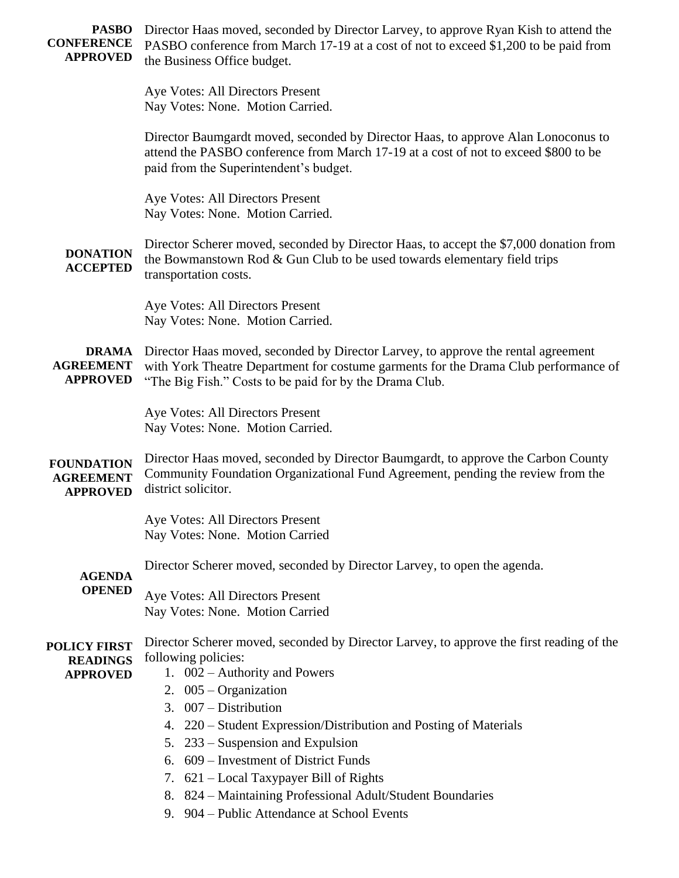| <b>PASBO</b><br><b>CONFERENCE</b><br><b>APPROVED</b>      | Director Haas moved, seconded by Director Larvey, to approve Ryan Kish to attend the<br>PASBO conference from March 17-19 at a cost of not to exceed \$1,200 to be paid from<br>the Business Office budget.                         |
|-----------------------------------------------------------|-------------------------------------------------------------------------------------------------------------------------------------------------------------------------------------------------------------------------------------|
|                                                           | Aye Votes: All Directors Present<br>Nay Votes: None. Motion Carried.                                                                                                                                                                |
|                                                           | Director Baumgardt moved, seconded by Director Haas, to approve Alan Lonoconus to<br>attend the PASBO conference from March 17-19 at a cost of not to exceed \$800 to be<br>paid from the Superintendent's budget.                  |
|                                                           | Aye Votes: All Directors Present<br>Nay Votes: None. Motion Carried.                                                                                                                                                                |
| <b>DONATION</b><br><b>ACCEPTED</b>                        | Director Scherer moved, seconded by Director Haas, to accept the \$7,000 donation from<br>the Bowmanstown Rod & Gun Club to be used towards elementary field trips<br>transportation costs.                                         |
|                                                           | Aye Votes: All Directors Present<br>Nay Votes: None. Motion Carried.                                                                                                                                                                |
| <b>DRAMA</b><br><b>AGREEMENT</b><br><b>APPROVED</b>       | Director Haas moved, seconded by Director Larvey, to approve the rental agreement<br>with York Theatre Department for costume garments for the Drama Club performance of<br>"The Big Fish." Costs to be paid for by the Drama Club. |
|                                                           | Aye Votes: All Directors Present<br>Nay Votes: None. Motion Carried.                                                                                                                                                                |
| <b>FOUNDATION</b><br><b>AGREEMENT</b><br><b>APPROVED</b>  | Director Haas moved, seconded by Director Baumgardt, to approve the Carbon County<br>Community Foundation Organizational Fund Agreement, pending the review from the<br>district solicitor.                                         |
|                                                           | Aye Votes: All Directors Present<br>Nay Votes: None. Motion Carried                                                                                                                                                                 |
| <b>AGENDA</b><br><b>OPENED</b>                            | Director Scherer moved, seconded by Director Larvey, to open the agenda.                                                                                                                                                            |
|                                                           | Aye Votes: All Directors Present<br>Nay Votes: None. Motion Carried                                                                                                                                                                 |
| <b>POLICY FIRST</b><br><b>READINGS</b><br><b>APPROVED</b> | Director Scherer moved, seconded by Director Larvey, to approve the first reading of the<br>following policies:<br>1. $002$ – Authority and Powers<br>2. $005 - Organization$<br>3. $007 - Distribution$                            |
|                                                           | 4. 220 - Student Expression/Distribution and Posting of Materials                                                                                                                                                                   |
|                                                           | 5. 233 – Suspension and Expulsion<br>6. 609 – Investment of District Funds                                                                                                                                                          |
|                                                           | 7. 621 – Local Taxypayer Bill of Rights                                                                                                                                                                                             |
|                                                           | 8. 824 – Maintaining Professional Adult/Student Boundaries                                                                                                                                                                          |
|                                                           | 9. 904 – Public Attendance at School Events                                                                                                                                                                                         |